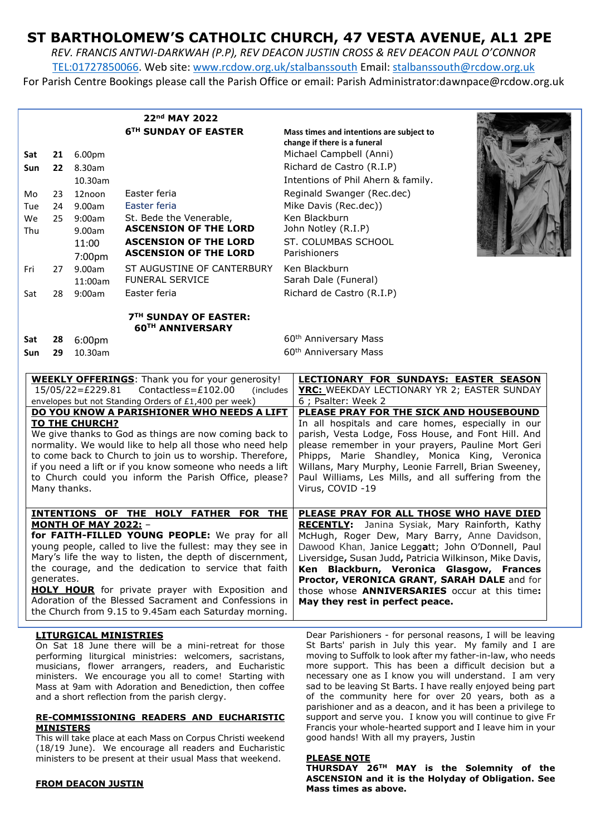# **ST BARTHOLOMEW'S CATHOLIC CHURCH, 47 VESTA AVENUE, AL1 2PE**

*REV. FRANCIS ANTWI-DARKWAH (P.P), REV DEACON JUSTIN CROSS & REV DEACON PAUL O'CONNOR* [TEL:01727850066.](tel:01727850066) Web site: [www.rcdow.org.uk/stalbanssouth](http://www.rcdow.org.uk/stalbanssouth) Email[: stalbanssouth@rcdow.org.uk](mailto:stalbanssouth@rcdow.org.uk)

For Parish Centre Bookings please call the Parish Office or email: Parish Administrator:dawnpace@rcdow.org.uk

|                                                                                                                                                                                                                                                                                                                                                                                                                                                                                                                                                                        |          |                     | 22nd MAY 2022                                                |                                                                                                                                                                                                                                                                                                                                                                                                                                                                                                                |
|------------------------------------------------------------------------------------------------------------------------------------------------------------------------------------------------------------------------------------------------------------------------------------------------------------------------------------------------------------------------------------------------------------------------------------------------------------------------------------------------------------------------------------------------------------------------|----------|---------------------|--------------------------------------------------------------|----------------------------------------------------------------------------------------------------------------------------------------------------------------------------------------------------------------------------------------------------------------------------------------------------------------------------------------------------------------------------------------------------------------------------------------------------------------------------------------------------------------|
|                                                                                                                                                                                                                                                                                                                                                                                                                                                                                                                                                                        |          |                     | 6TH SUNDAY OF EASTER                                         | Mass times and intentions are subject to<br>change if there is a funeral<br>Michael Campbell (Anni)                                                                                                                                                                                                                                                                                                                                                                                                            |
| Sat<br>Sun                                                                                                                                                                                                                                                                                                                                                                                                                                                                                                                                                             | 22       | 21 6.00pm<br>8.30am |                                                              | Richard de Castro (R.I.P)                                                                                                                                                                                                                                                                                                                                                                                                                                                                                      |
|                                                                                                                                                                                                                                                                                                                                                                                                                                                                                                                                                                        |          | 10.30am             |                                                              | Intentions of Phil Ahern & family.                                                                                                                                                                                                                                                                                                                                                                                                                                                                             |
|                                                                                                                                                                                                                                                                                                                                                                                                                                                                                                                                                                        |          | 12noon              | Easter feria                                                 | Reginald Swanger (Rec.dec)                                                                                                                                                                                                                                                                                                                                                                                                                                                                                     |
| Mo<br>Tue                                                                                                                                                                                                                                                                                                                                                                                                                                                                                                                                                              | 23<br>24 | 9.00am              | Easter feria                                                 | Mike Davis (Rec.dec))                                                                                                                                                                                                                                                                                                                                                                                                                                                                                          |
| We                                                                                                                                                                                                                                                                                                                                                                                                                                                                                                                                                                     | 25       | 9:00am              | St. Bede the Venerable,                                      | Ken Blackburn                                                                                                                                                                                                                                                                                                                                                                                                                                                                                                  |
| Thu                                                                                                                                                                                                                                                                                                                                                                                                                                                                                                                                                                    |          | 9.00am              | <b>ASCENSION OF THE LORD</b>                                 | John Notley (R.I.P)                                                                                                                                                                                                                                                                                                                                                                                                                                                                                            |
|                                                                                                                                                                                                                                                                                                                                                                                                                                                                                                                                                                        |          | 11:00<br>7:00pm     | <b>ASCENSION OF THE LORD</b><br><b>ASCENSION OF THE LORD</b> | ST. COLUMBAS SCHOOL<br>Parishioners                                                                                                                                                                                                                                                                                                                                                                                                                                                                            |
| Fri                                                                                                                                                                                                                                                                                                                                                                                                                                                                                                                                                                    | 27       | 9.00am<br>11:00am   | ST AUGUSTINE OF CANTERBURY<br><b>FUNERAL SERVICE</b>         | Ken Blackburn<br>Sarah Dale (Funeral)                                                                                                                                                                                                                                                                                                                                                                                                                                                                          |
| Sat                                                                                                                                                                                                                                                                                                                                                                                                                                                                                                                                                                    | 28       | 9:00am              | Easter feria                                                 | Richard de Castro (R.I.P)                                                                                                                                                                                                                                                                                                                                                                                                                                                                                      |
| <b>7TH SUNDAY OF EASTER:</b><br><b>60TH ANNIVERSARY</b>                                                                                                                                                                                                                                                                                                                                                                                                                                                                                                                |          |                     |                                                              |                                                                                                                                                                                                                                                                                                                                                                                                                                                                                                                |
| Sat                                                                                                                                                                                                                                                                                                                                                                                                                                                                                                                                                                    | 28       | 6:00pm              |                                                              | 60 <sup>th</sup> Anniversary Mass                                                                                                                                                                                                                                                                                                                                                                                                                                                                              |
| Sun                                                                                                                                                                                                                                                                                                                                                                                                                                                                                                                                                                    | 29       | 10.30am             |                                                              | 60 <sup>th</sup> Anniversary Mass                                                                                                                                                                                                                                                                                                                                                                                                                                                                              |
| <b>WEEKLY OFFERINGS:</b> Thank you for your generosity!<br>$15/05/22 = £229.81$<br>Contactless=£102.00<br>(includes)<br>envelopes but not Standing Orders of £1,400 per week)<br>DO YOU KNOW A PARISHIONER WHO NEEDS A LIFT<br>TO THE CHURCH?<br>We give thanks to God as things are now coming back to<br>normality. We would like to help all those who need help<br>to come back to Church to join us to worship. Therefore,<br>if you need a lift or if you know someone who needs a lift<br>to Church could you inform the Parish Office, please?<br>Many thanks. |          |                     |                                                              | LECTIONARY FOR SUNDAYS: EASTER SEASON<br>YRC: WEEKDAY LECTIONARY YR 2; EASTER SUNDAY<br>6 ; Psalter: Week 2<br>PLEASE PRAY FOR THE SICK AND HOUSEBOUND<br>In all hospitals and care homes, especially in our<br>parish, Vesta Lodge, Foss House, and Font Hill. And<br>please remember in your prayers, Pauline Mort Geri<br>Phipps, Marie Shandley, Monica King, Veronica<br>Willans, Mary Murphy, Leonie Farrell, Brian Sweeney,<br>Paul Williams, Les Mills, and all suffering from the<br>Virus, COVID -19 |
| <b>INTENTIONS OF THE HOLY FATHER FOR THE</b><br><b>MONTH OF MAY 2022: -</b><br>for FAITH-FILLED YOUNG PEOPLE: We pray for all<br>young people, called to live the fullest: may they see in<br>Mary's life the way to listen, the depth of discernment,<br>the courage, and the dedication to service that faith<br>generates.<br>HOLY HOUR for private prayer with Exposition and<br>Adoration of the Blessed Sacrament and Confessions in<br>the Church from 9.15 to 9.45am each Saturday morning.                                                                    |          |                     |                                                              | PLEASE PRAY FOR ALL THOSE WHO HAVE DIED<br>RECENTLY: Janina Sysiak, Mary Rainforth, Kathy<br>McHugh, Roger Dew, Mary Barry, Anne Davidson,<br>Dawood Khan, Janice Leggatt; John O'Donnell, Paul<br>Liversidge, Susan Judd, Patricia Wilkinson, Mike Davis,<br>Ken Blackburn, Veronica Glasgow, Frances<br>Proctor, VERONICA GRANT, SARAH DALE and for<br>those whose <b>ANNIVERSARIES</b> occur at this time:<br>May they rest in perfect peace.                                                               |
| Dear Parishioners - for personal reasons, I will be leaving<br><b>LITURGICAL MINISTRIES</b>                                                                                                                                                                                                                                                                                                                                                                                                                                                                            |          |                     |                                                              |                                                                                                                                                                                                                                                                                                                                                                                                                                                                                                                |

On Sat 18 June there will be a mini-retreat for those performing liturgical ministries: welcomers, sacristans, musicians, flower arrangers, readers, and Eucharistic ministers. We encourage you all to come! Starting with Mass at 9am with Adoration and Benediction, then coffee and a short reflection from the parish clergy.

### **RE-COMMISSIONING READERS AND EUCHARISTIC MINISTERS**

This will take place at each Mass on Corpus Christi weekend (18/19 June). We encourage all readers and Eucharistic ministers to be present at their usual Mass that weekend.

#### **FROM DEACON JUSTIN**

St Barts' parish in July this year. My family and I are moving to Suffolk to look after my father-in-law, who needs more support. This has been a difficult decision but a necessary one as I know you will understand. I am very sad to be leaving St Barts. I have really enjoyed being part of the community here for over 20 years, both as a parishioner and as a deacon, and it has been a privilege to support and serve you. I know you will continue to give Fr Francis your whole-hearted support and I leave him in your good hands! With all my prayers, Justin

#### **PLEASE NOTE**

**THURSDAY 26TH MAY is the Solemnity of the ASCENSION and it is the Holyday of Obligation. See Mass times as above.**